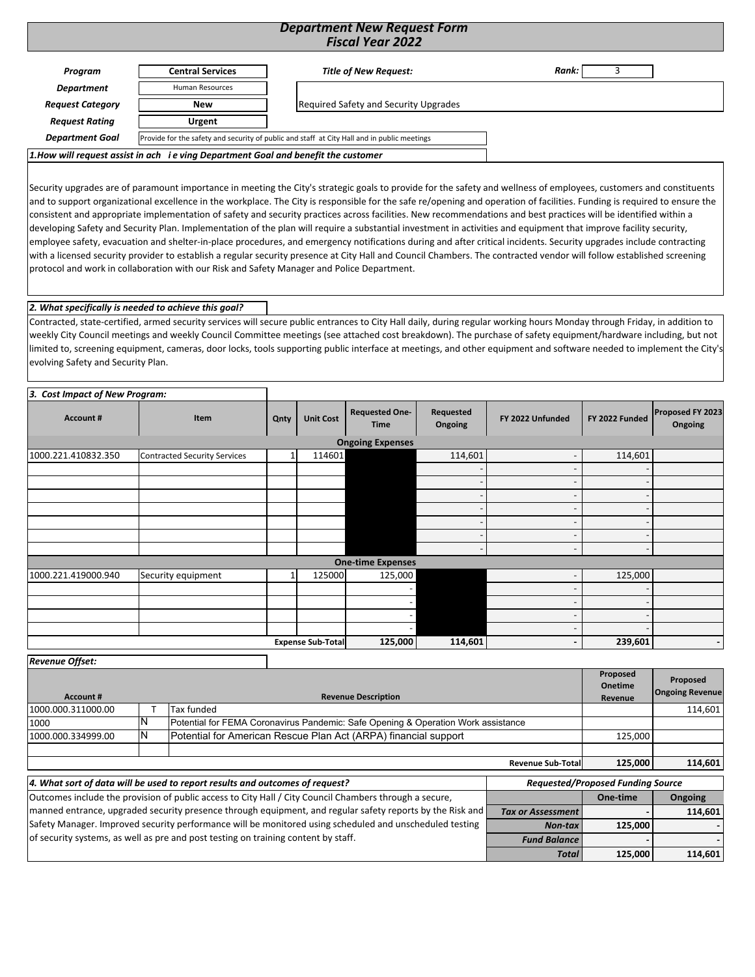### *Department New Request Form Fiscal Year 2022*

| Program                 | <b>Central Services</b>                                                           | <b>Title of New Request:</b>                                                                | Rank: |
|-------------------------|-----------------------------------------------------------------------------------|---------------------------------------------------------------------------------------------|-------|
| Department              | <b>Human Resources</b>                                                            |                                                                                             |       |
| <b>Request Category</b> | New                                                                               | <b>Required Safety and Security Upgrades</b>                                                |       |
| <b>Request Rating</b>   | Urgent                                                                            |                                                                                             |       |
| <b>Department Goal</b>  |                                                                                   | Provide for the safety and security of public and staff at City Hall and in public meetings |       |
|                         | 1.How will request assist in ach ie ving Department Goal and benefit the customer |                                                                                             |       |

Security upgrades are of paramount importance in meeting the City's strategic goals to provide for the safety and wellness of employees, customers and constituents and to support organizational excellence in the workplace. The City is responsible for the safe re/opening and operation of facilities. Funding is required to ensure the consistent and appropriate implementation of safety and security practices across facilities. New recommendations and best practices will be identified within a developing Safety and Security Plan. Implementation of the plan will require a substantial investment in activities and equipment that improve facility security, employee safety, evacuation and shelter-in-place procedures, and emergency notifications during and after critical incidents. Security upgrades include contracting with a licensed security provider to establish a regular security presence at City Hall and Council Chambers. The contracted vendor will follow established screening protocol and work in collaboration with our Risk and Safety Manager and Police Department.

#### *2. What specifically is needed to achieve this goal?*

Contracted, state‐certified, armed security services will secure public entrances to City Hall daily, during regular working hours Monday through Friday, in addition to weekly City Council meetings and weekly Council Committee meetings (see attached cost breakdown). The purchase of safety equipment/hardware including, but not limited to, screening equipment, cameras, door locks, tools supporting public interface at meetings, and other equipment and software needed to implement the City's evolving Safety and Security Plan.

| 3. Cost Impact of New Program: |                                     |      |                          |                                      |                      |                          |                          |                             |
|--------------------------------|-------------------------------------|------|--------------------------|--------------------------------------|----------------------|--------------------------|--------------------------|-----------------------------|
| <b>Account #</b>               | Item                                | Qnty | <b>Unit Cost</b>         | <b>Requested One-</b><br><b>Time</b> | Requested<br>Ongoing | FY 2022 Unfunded         | FY 2022 Funded           | Proposed FY 2023<br>Ongoing |
|                                |                                     |      |                          | <b>Ongoing Expenses</b>              |                      |                          |                          |                             |
| 1000.221.410832.350            | <b>Contracted Security Services</b> |      | 114601                   |                                      | 114,601              |                          | 114,601                  |                             |
|                                |                                     |      |                          |                                      |                      |                          |                          |                             |
|                                |                                     |      |                          |                                      |                      |                          |                          |                             |
|                                |                                     |      |                          |                                      |                      | $\overline{\phantom{0}}$ | $\overline{\phantom{a}}$ |                             |
|                                |                                     |      |                          |                                      |                      | $\overline{\phantom{0}}$ | $\overline{\phantom{a}}$ |                             |
|                                |                                     |      |                          |                                      |                      | $\overline{\phantom{0}}$ | $\overline{\phantom{a}}$ |                             |
|                                |                                     |      |                          |                                      |                      | $\overline{\phantom{0}}$ | $\overline{\phantom{a}}$ |                             |
|                                |                                     |      |                          |                                      |                      | $\overline{\phantom{a}}$ |                          |                             |
|                                |                                     |      |                          | <b>One-time Expenses</b>             |                      |                          |                          |                             |
| 1000.221.419000.940            | Security equipment                  |      | 125000                   | 125,000                              |                      |                          | 125,000                  |                             |
|                                |                                     |      |                          |                                      |                      |                          |                          |                             |
|                                |                                     |      |                          |                                      |                      |                          |                          |                             |
|                                |                                     |      |                          |                                      |                      | $\overline{\phantom{0}}$ |                          |                             |
|                                |                                     |      |                          |                                      |                      |                          |                          |                             |
|                                |                                     |      | <b>Expense Sub-Total</b> | 125,000                              | 114,601              | $\overline{\phantom{0}}$ | 239,601                  | $\blacksquare$              |

| <b>Revenue Offset:</b> |                                                                       |                                                                                   |                           |                                          |          |
|------------------------|-----------------------------------------------------------------------|-----------------------------------------------------------------------------------|---------------------------|------------------------------------------|----------|
|                        |                                                                       |                                                                                   |                           | Proposed<br><b>Onetime</b>               | Proposed |
| <b>Account #</b>       |                                                                       | <b>Revenue Description</b>                                                        |                           | <b>Ongoing Revenue</b>                   |          |
| 1000.000.311000.00     |                                                                       | Tax funded                                                                        |                           |                                          | 114,601  |
| 1000                   |                                                                       | Potential for FEMA Coronavirus Pandemic: Safe Opening & Operation Work assistance |                           |                                          |          |
| 1000.000.334999.00     | IN<br>Potential for American Rescue Plan Act (ARPA) financial support |                                                                                   |                           |                                          | 125.000  |
|                        |                                                                       |                                                                                   |                           |                                          |          |
|                        |                                                                       |                                                                                   | <b>Revenue Sub-Totall</b> | 125,000                                  | 114,601  |
|                        |                                                                       | 4. What sort of data will be used to report results and outcomes of request?      |                           | <b>Requested/Proposed Funding Source</b> |          |

| 4. What sort of aata will be used to report results and outcomes of request?                              | Requested/Proposed Funding Source |          |         |  |  |
|-----------------------------------------------------------------------------------------------------------|-----------------------------------|----------|---------|--|--|
| Outcomes include the provision of public access to City Hall / City Council Chambers through a secure,    |                                   | One-time | Ongoing |  |  |
| manned entrance, upgraded security presence through equipment, and regular safety reports by the Risk and | <b>Tax or Assessment</b>          |          | 114.601 |  |  |
| Safety Manager. Improved security performance will be monitored using scheduled and unscheduled testing   | Non-tax                           | 125.000  |         |  |  |
| of security systems, as well as pre and post testing on training content by staff.                        | <b>Fund Balance</b>               |          |         |  |  |
|                                                                                                           | <b>Total</b>                      | 125.000  | 114,601 |  |  |